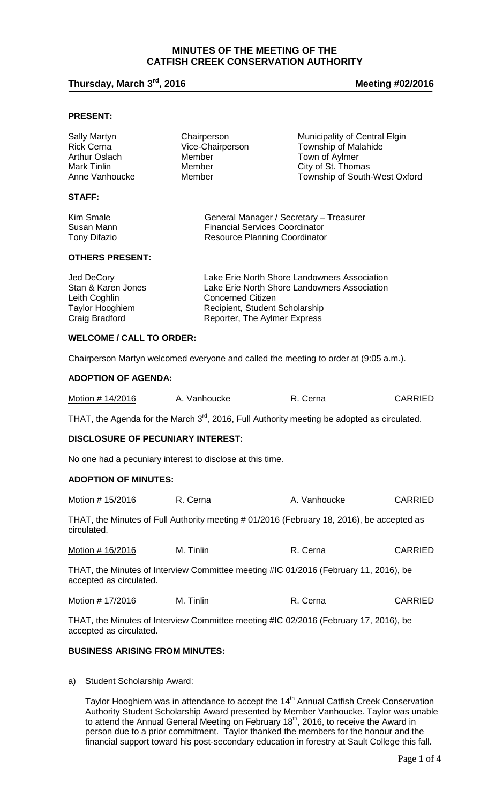## **MINUTES OF THE MEETING OF THE CATFISH CREEK CONSERVATION AUTHORITY**

## **Thursday, March 3rd, 2016 Meeting #02/2016**

## **PRESENT:**

| Sally Martyn<br><b>Rick Cerna</b><br>Arthur Oslach<br>Mark Tinlin<br>Anne Vanhoucke | Chairperson<br>Vice-Chairperson<br>Member<br>Member<br>Member                                                            | Municipality of Central Elgin<br>Township of Malahide<br>Town of Aylmer<br>City of St. Thomas<br>Township of South-West Oxford |  |
|-------------------------------------------------------------------------------------|--------------------------------------------------------------------------------------------------------------------------|--------------------------------------------------------------------------------------------------------------------------------|--|
| STAFF:                                                                              |                                                                                                                          |                                                                                                                                |  |
| Kim Smale<br>Susan Mann                                                             | <b>Financial Services Coordinator</b>                                                                                    | General Manager / Secretary - Treasurer                                                                                        |  |
| Tony Difazio                                                                        | Resource Planning Coordinator                                                                                            |                                                                                                                                |  |
| <b>OTHERS PRESENT:</b>                                                              |                                                                                                                          |                                                                                                                                |  |
| <b>Jed DeCory</b><br>Stan & Karen Jones<br>Leith Coghlin                            | Lake Erie North Shore Landowners Association<br>Lake Erie North Shore Landowners Association<br><b>Concerned Citizen</b> |                                                                                                                                |  |

## **WELCOME / CALL TO ORDER:**

Chairperson Martyn welcomed everyone and called the meeting to order at (9:05 a.m.).

Taylor Hooghiem **Recipient**, Student Scholarship Craig Bradford **Reporter**, The Aylmer Express

## **ADOPTION OF AGENDA:**

| Motion # 14/2016<br>R. Cerna<br>A. Vanhoucke | <b>CARRIED</b> |
|----------------------------------------------|----------------|
|----------------------------------------------|----------------|

THAT, the Agenda for the March 3<sup>rd</sup>, 2016, Full Authority meeting be adopted as circulated.

## **DISCLOSURE OF PECUNIARY INTEREST:**

No one had a pecuniary interest to disclose at this time.

#### **ADOPTION OF MINUTES:**

| Motion # 15/2016 | R. Cerna  | A. Vanhoucke                                                                             | <b>CARRIED</b> |
|------------------|-----------|------------------------------------------------------------------------------------------|----------------|
| circulated.      |           | THAT, the Minutes of Full Authority meeting #01/2016 (February 18, 2016), be accepted as |                |
| Motion # 16/2016 | M. Tinlin | R. Cerna                                                                                 | <b>CARRIED</b> |

THAT, the Minutes of Interview Committee meeting #IC 01/2016 (February 11, 2016), be accepted as circulated.

| Motion # 17/2016 | M. Tinlin | R. Cerna | <b>CARRIED</b> |
|------------------|-----------|----------|----------------|
|------------------|-----------|----------|----------------|

THAT, the Minutes of Interview Committee meeting #IC 02/2016 (February 17, 2016), be accepted as circulated.

## **BUSINESS ARISING FROM MINUTES:**

#### a) Student Scholarship Award:

Taylor Hooghiem was in attendance to accept the 14<sup>th</sup> Annual Catfish Creek Conservation Authority Student Scholarship Award presented by Member Vanhoucke. Taylor was unable to attend the Annual General Meeting on February 18<sup>th</sup>, 2016, to receive the Award in person due to a prior commitment. Taylor thanked the members for the honour and the financial support toward his post-secondary education in forestry at Sault College this fall.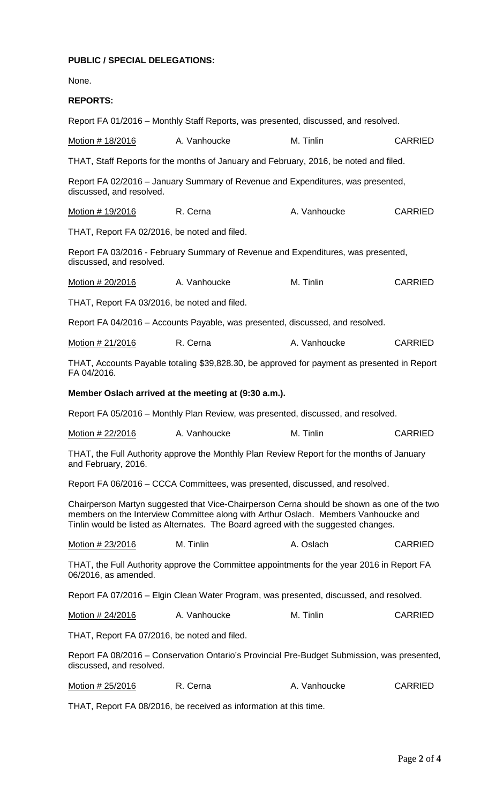# **PUBLIC / SPECIAL DELEGATIONS:**

None.

# **REPORTS:**

|                                              | Report FA 01/2016 – Monthly Staff Reports, was presented, discussed, and resolved.                                                                                                                                                                                     |              |                |
|----------------------------------------------|------------------------------------------------------------------------------------------------------------------------------------------------------------------------------------------------------------------------------------------------------------------------|--------------|----------------|
| Motion # 18/2016                             | A. Vanhoucke                                                                                                                                                                                                                                                           | M. Tinlin    | <b>CARRIED</b> |
|                                              | THAT, Staff Reports for the months of January and February, 2016, be noted and filed.                                                                                                                                                                                  |              |                |
| discussed, and resolved.                     | Report FA 02/2016 - January Summary of Revenue and Expenditures, was presented,                                                                                                                                                                                        |              |                |
| <u>Motion # 19/2016</u>                      | R. Cerna                                                                                                                                                                                                                                                               | A. Vanhoucke | <b>CARRIED</b> |
| THAT, Report FA 02/2016, be noted and filed. |                                                                                                                                                                                                                                                                        |              |                |
| discussed, and resolved.                     | Report FA 03/2016 - February Summary of Revenue and Expenditures, was presented,                                                                                                                                                                                       |              |                |
| Motion # 20/2016                             | A. Vanhoucke                                                                                                                                                                                                                                                           | M. Tinlin    | <b>CARRIED</b> |
| THAT, Report FA 03/2016, be noted and filed. |                                                                                                                                                                                                                                                                        |              |                |
|                                              | Report FA 04/2016 - Accounts Payable, was presented, discussed, and resolved.                                                                                                                                                                                          |              |                |
| Motion # 21/2016                             | R. Cerna                                                                                                                                                                                                                                                               | A. Vanhoucke | <b>CARRIED</b> |
| FA 04/2016.                                  | THAT, Accounts Payable totaling \$39,828.30, be approved for payment as presented in Report                                                                                                                                                                            |              |                |
|                                              | Member Oslach arrived at the meeting at (9:30 a.m.).                                                                                                                                                                                                                   |              |                |
|                                              | Report FA 05/2016 – Monthly Plan Review, was presented, discussed, and resolved.                                                                                                                                                                                       |              |                |
| Motion # 22/2016                             | A. Vanhoucke                                                                                                                                                                                                                                                           | M. Tinlin    | <b>CARRIED</b> |
| and February, 2016.                          | THAT, the Full Authority approve the Monthly Plan Review Report for the months of January                                                                                                                                                                              |              |                |
|                                              | Report FA 06/2016 - CCCA Committees, was presented, discussed, and resolved.                                                                                                                                                                                           |              |                |
|                                              | Chairperson Martyn suggested that Vice-Chairperson Cerna should be shown as one of the two<br>members on the Interview Committee along with Arthur Oslach. Members Vanhoucke and<br>Tinlin would be listed as Alternates. The Board agreed with the suggested changes. |              |                |
| Motion # 23/2016                             | M. Tinlin                                                                                                                                                                                                                                                              | A. Oslach    | <b>CARRIED</b> |
| 06/2016, as amended.                         | THAT, the Full Authority approve the Committee appointments for the year 2016 in Report FA                                                                                                                                                                             |              |                |
|                                              | Report FA 07/2016 – Elgin Clean Water Program, was presented, discussed, and resolved.                                                                                                                                                                                 |              |                |
| Motion # 24/2016                             | A. Vanhoucke                                                                                                                                                                                                                                                           | M. Tinlin    | <b>CARRIED</b> |
| THAT, Report FA 07/2016, be noted and filed. |                                                                                                                                                                                                                                                                        |              |                |
| discussed, and resolved.                     | Report FA 08/2016 – Conservation Ontario's Provincial Pre-Budget Submission, was presented,                                                                                                                                                                            |              |                |
| Motion # 25/2016                             | R. Cerna                                                                                                                                                                                                                                                               | A. Vanhoucke | <b>CARRIED</b> |
|                                              | THAT, Report FA 08/2016, be received as information at this time.                                                                                                                                                                                                      |              |                |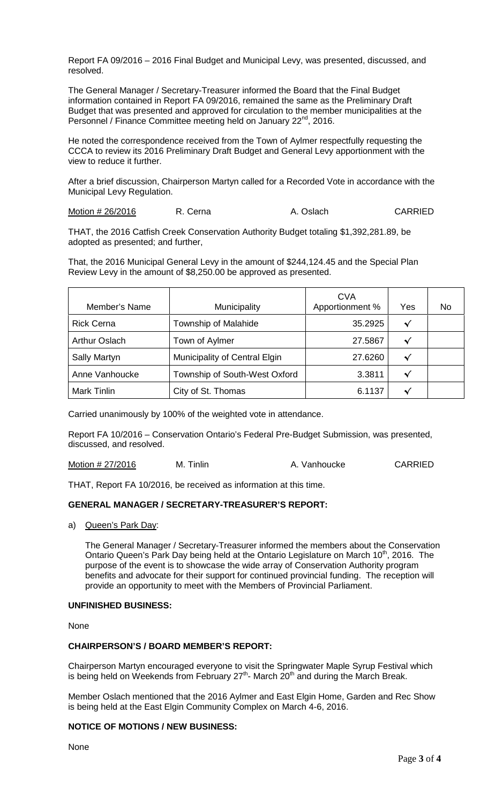Report FA 09/2016 – 2016 Final Budget and Municipal Levy, was presented, discussed, and resolved.

The General Manager / Secretary-Treasurer informed the Board that the Final Budget information contained in Report FA 09/2016, remained the same as the Preliminary Draft Budget that was presented and approved for circulation to the member municipalities at the Personnel / Finance Committee meeting held on January 22<sup>nd</sup>, 2016.

He noted the correspondence received from the Town of Aylmer respectfully requesting the CCCA to review its 2016 Preliminary Draft Budget and General Levy apportionment with the view to reduce it further.

After a brief discussion, Chairperson Martyn called for a Recorded Vote in accordance with the Municipal Levy Regulation.

Motion # 26/2016 R. Cerna A. Oslach CARRIED

THAT, the 2016 Catfish Creek Conservation Authority Budget totaling \$1,392,281.89, be adopted as presented; and further,

That, the 2016 Municipal General Levy in the amount of \$244,124.45 and the Special Plan Review Levy in the amount of \$8,250.00 be approved as presented.

| Member's Name        | Municipality                  | <b>CVA</b><br>Apportionment % | Yes          | No. |
|----------------------|-------------------------------|-------------------------------|--------------|-----|
| <b>Rick Cerna</b>    | Township of Malahide          | 35.2925                       | √            |     |
| <b>Arthur Oslach</b> | Town of Aylmer                | 27.5867                       | √            |     |
| <b>Sally Martyn</b>  | Municipality of Central Elgin | 27.6260                       | √            |     |
| Anne Vanhoucke       | Township of South-West Oxford | 3.3811                        | $\checkmark$ |     |
| <b>Mark Tinlin</b>   | City of St. Thomas            | 6.1137                        | ✔            |     |

Carried unanimously by 100% of the weighted vote in attendance.

Report FA 10/2016 – Conservation Ontario's Federal Pre-Budget Submission, was presented, discussed, and resolved.

Motion # 27/2016 M. Tinlin A. Vanhoucke CARRIED

THAT, Report FA 10/2016, be received as information at this time.

## **GENERAL MANAGER / SECRETARY-TREASURER'S REPORT:**

a) Queen's Park Day:

The General Manager / Secretary-Treasurer informed the members about the Conservation Ontario Queen's Park Day being held at the Ontario Legislature on March 10<sup>th</sup>, 2016. The purpose of the event is to showcase the wide array of Conservation Authority program benefits and advocate for their support for continued provincial funding. The reception will provide an opportunity to meet with the Members of Provincial Parliament.

## **UNFINISHED BUSINESS:**

None

## **CHAIRPERSON'S / BOARD MEMBER'S REPORT:**

Chairperson Martyn encouraged everyone to visit the Springwater Maple Syrup Festival which is being held on Weekends from February  $27<sup>th</sup>$ - March  $20<sup>th</sup>$  and during the March Break.

Member Oslach mentioned that the 2016 Aylmer and East Elgin Home, Garden and Rec Show is being held at the East Elgin Community Complex on March 4-6, 2016.

## **NOTICE OF MOTIONS / NEW BUSINESS:**

None